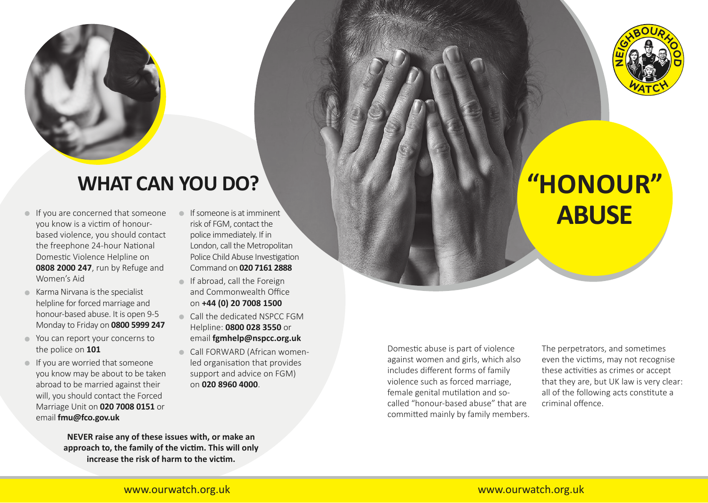

## **WHAT CAN YOU DO?**

- **•** If you are concerned that someone you know is a victim of honourbased violence, you should contact the freephone 24-hour National Domestic Violence Helpline on **0808 2000 247**, run by Refuge and Women's Aid
- **•** Karma Nirvana is the specialist helpline for forced marriage and honour-based abuse. It is open 9-5 Monday to Friday on **0800 5999 247**
- **•** You can report your concerns to the police on **101**
- **•** If you are worried that someone you know may be about to be taken abroad to be married against their will, you should contact the Forced Marriage Unit on **020 7008 0151** or email **fmu@fco.gov.uk**
- **•** If someone is at imminent risk of FGM, contact the police immediately. If in London, call the Metropolitan Police Child Abuse Investigation Command on **020 7161 2888**
- **•** If abroad, call the Foreign and Commonwealth Office on **+44 (0) 20 7008 1500**
- **•** Call the dedicated NSPCC FGM Helpline: **0800 028 3550** or email **fgmhelp@nspcc.org.uk**
- **•** Call FORWARD (African womenled organisation that provides support and advice on FGM) on **020 8960 4000**.

Domestic abuse is part of violence against women and girls, which also includes different forms of family violence such as forced marriage, female genital mutilation and socalled "honour-based abuse" that are committed mainly by family members. The perpetrators, and sometimes even the victims, may not recognise these activities as crimes or accept that they are, but UK law is very clear: all of the following acts constitute a criminal offence.



# **"HONOUR" ABUSE**

**NEVER raise any of these issues with, or make an approach to, the family of the victim. This will only increase the risk of harm to the victim.**

#### www.ourwatch.org.uk www.ourwatch.org.uk